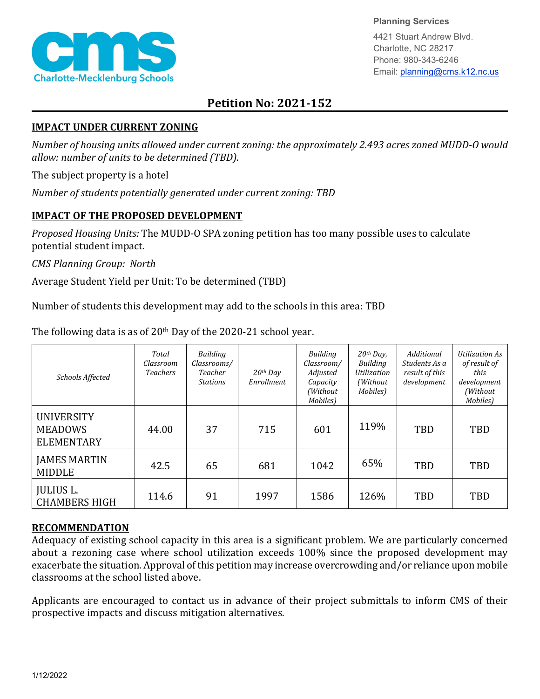

**Planning Services**

4421 Stuart Andrew Blvd. Charlotte, NC 28217 Phone: 980-343-6246 Email: planning@cms.k12.nc.us

## **Petition No: 2021-152**

## **IMPACT UNDER CURRENT ZONING**

*Number of housing units allowed under current zoning: the approximately 2.493 acres zoned MUDD-O would allow: number of units to be determined (TBD).*

The subject property is a hotel

*Number of students potentially generated under current zoning: TBD*

## **IMPACT OF THE PROPOSED DEVELOPMENT**

*Proposed Housing Units:* The MUDD-O SPA zoning petition has too many possible uses to calculate potential student impact.

*CMS Planning Group: North*

Average Student Yield per Unit: To be determined (TBD)

Number of students this development may add to the schools in this area: TBD

| Schools Affected                                         | Total<br>Classroom<br><b>Teachers</b> | Building<br>Classrooms/<br>Teacher<br><b>Stations</b> | $20$ <sup>th</sup> Day<br>Enrollment | Building<br>Classroom/<br>Adjusted<br>Capacity<br>(Without)<br>Mobiles) | $20th$ Day,<br><b>Building</b><br>Utilization<br>(Without)<br>Mobiles) | Additional<br>Students As a<br>result of this<br>development | Utilization As<br>of result of<br>this<br>development<br>(Without<br>Mobiles) |
|----------------------------------------------------------|---------------------------------------|-------------------------------------------------------|--------------------------------------|-------------------------------------------------------------------------|------------------------------------------------------------------------|--------------------------------------------------------------|-------------------------------------------------------------------------------|
| <b>UNIVERSITY</b><br><b>MEADOWS</b><br><b>ELEMENTARY</b> | 44.00                                 | 37                                                    | 715                                  | 601                                                                     | 119%                                                                   | <b>TBD</b>                                                   | TBD                                                                           |
| <b>JAMES MARTIN</b><br><b>MIDDLE</b>                     | 42.5                                  | 65                                                    | 681                                  | 1042                                                                    | 65%                                                                    | TBD                                                          | TBD                                                                           |
| <b>JULIUS L.</b><br><b>CHAMBERS HIGH</b>                 | 114.6                                 | 91                                                    | 1997                                 | 1586                                                                    | 126%                                                                   | <b>TBD</b>                                                   | <b>TBD</b>                                                                    |

The following data is as of 20<sup>th</sup> Day of the 2020-21 school year.

## **RECOMMENDATION**

Adequacy of existing school capacity in this area is a significant problem. We are particularly concerned about a rezoning case where school utilization exceeds 100% since the proposed development may exacerbate the situation. Approval of this petition may increase overcrowding and/or reliance upon mobile classrooms at the school listed above.

Applicants are encouraged to contact us in advance of their project submittals to inform CMS of their prospective impacts and discuss mitigation alternatives.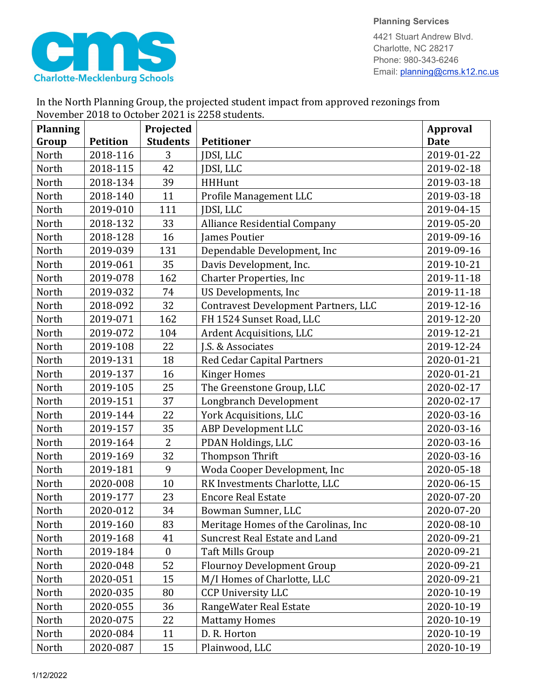

4421 Stuart Andrew Blvd. Charlotte, NC 28217 Phone: 980-343-6246 Email: planning@cms.k12.nc.us

| November 2018 to October 2021 is 2258 students. |                 |                  |                                             |                 |  |  |  |
|-------------------------------------------------|-----------------|------------------|---------------------------------------------|-----------------|--|--|--|
| <b>Planning</b>                                 |                 | Projected        |                                             | <b>Approval</b> |  |  |  |
| Group                                           | <b>Petition</b> | <b>Students</b>  | <b>Petitioner</b>                           | <b>Date</b>     |  |  |  |
| North                                           | 2018-116        | 3                | JDSI, LLC                                   | 2019-01-22      |  |  |  |
| North                                           | 2018-115        | 42               | JDSI, LLC                                   | 2019-02-18      |  |  |  |
| North                                           | 2018-134        | 39               | <b>HHHunt</b>                               | 2019-03-18      |  |  |  |
| North                                           | 2018-140        | 11               | Profile Management LLC                      | 2019-03-18      |  |  |  |
| North                                           | 2019-010        | 111              | <b>JDSI, LLC</b>                            | 2019-04-15      |  |  |  |
| North                                           | 2018-132        | 33               | <b>Alliance Residential Company</b>         | 2019-05-20      |  |  |  |
| North                                           | 2018-128        | 16               | <b>James Poutier</b>                        | 2019-09-16      |  |  |  |
| North                                           | 2019-039        | 131              | Dependable Development, Inc                 | 2019-09-16      |  |  |  |
| North                                           | 2019-061        | 35               | Davis Development, Inc.                     | 2019-10-21      |  |  |  |
| North                                           | 2019-078        | 162              | <b>Charter Properties, Inc.</b>             | 2019-11-18      |  |  |  |
| North                                           | 2019-032        | 74               | US Developments, Inc                        | 2019-11-18      |  |  |  |
| North                                           | 2018-092        | 32               | <b>Contravest Development Partners, LLC</b> | 2019-12-16      |  |  |  |
| North                                           | 2019-071        | 162              | FH 1524 Sunset Road, LLC                    | 2019-12-20      |  |  |  |
| North                                           | 2019-072        | 104              | Ardent Acquisitions, LLC                    | 2019-12-21      |  |  |  |
| North                                           | 2019-108        | 22               | J.S. & Associates                           | 2019-12-24      |  |  |  |
| North                                           | 2019-131        | 18               | <b>Red Cedar Capital Partners</b>           | 2020-01-21      |  |  |  |
| North                                           | 2019-137        | 16               | <b>Kinger Homes</b>                         | 2020-01-21      |  |  |  |
| North                                           | 2019-105        | 25               | The Greenstone Group, LLC                   | 2020-02-17      |  |  |  |
| North                                           | 2019-151        | 37               | Longbranch Development                      | 2020-02-17      |  |  |  |
| North                                           | 2019-144        | 22               | York Acquisitions, LLC                      | 2020-03-16      |  |  |  |
| North                                           | 2019-157        | 35               | <b>ABP Development LLC</b>                  | 2020-03-16      |  |  |  |
| North                                           | 2019-164        | $\overline{2}$   | PDAN Holdings, LLC                          | 2020-03-16      |  |  |  |
| North                                           | 2019-169        | 32               | Thompson Thrift                             | 2020-03-16      |  |  |  |
| North                                           | 2019-181        | 9                | Woda Cooper Development, Inc                | 2020-05-18      |  |  |  |
| North                                           | 2020-008        | 10               | RK Investments Charlotte, LLC               | 2020-06-15      |  |  |  |
| North                                           | 2019-177        | 23               | <b>Encore Real Estate</b>                   | 2020-07-20      |  |  |  |
| North                                           | 2020-012        | 34               | Bowman Sumner, LLC                          | 2020-07-20      |  |  |  |
| North                                           | 2019-160        | 83               | Meritage Homes of the Carolinas, Inc        | 2020-08-10      |  |  |  |
| North                                           | 2019-168        | 41               | <b>Suncrest Real Estate and Land</b>        | 2020-09-21      |  |  |  |
| North                                           | 2019-184        | $\boldsymbol{0}$ | <b>Taft Mills Group</b>                     | 2020-09-21      |  |  |  |
| North                                           | 2020-048        | 52               | <b>Flournoy Development Group</b>           | 2020-09-21      |  |  |  |
| North                                           | 2020-051        | 15               | M/I Homes of Charlotte, LLC                 | 2020-09-21      |  |  |  |
| North                                           | 2020-035        | 80               | <b>CCP University LLC</b>                   | 2020-10-19      |  |  |  |
| North                                           | 2020-055        | 36               | RangeWater Real Estate                      | 2020-10-19      |  |  |  |
| North                                           | 2020-075        | 22               | <b>Mattamy Homes</b>                        | 2020-10-19      |  |  |  |
| North                                           | 2020-084        | 11               | D. R. Horton                                | 2020-10-19      |  |  |  |
| North                                           | 2020-087        | 15               | Plainwood, LLC                              | 2020-10-19      |  |  |  |

In the North Planning Group, the projected student impact from approved rezonings from